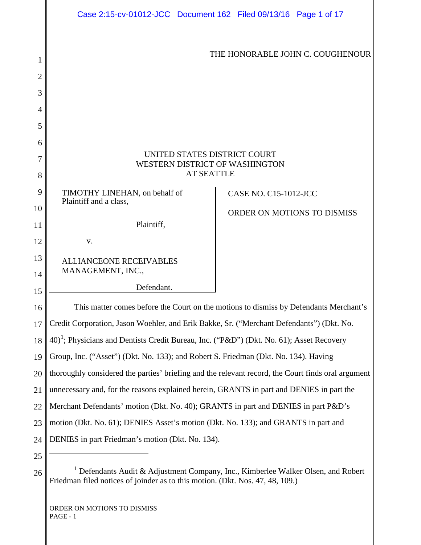<span id="page-0-1"></span><span id="page-0-0"></span>

|                     | Case 2:15-cv-01012-JCC Document 162 Filed 09/13/16 Page 1 of 17                                                                                                               |  |                              |                                  |  |  |
|---------------------|-------------------------------------------------------------------------------------------------------------------------------------------------------------------------------|--|------------------------------|----------------------------------|--|--|
| 1<br>$\overline{2}$ |                                                                                                                                                                               |  |                              | THE HONORABLE JOHN C. COUGHENOUR |  |  |
| 3                   |                                                                                                                                                                               |  |                              |                                  |  |  |
|                     |                                                                                                                                                                               |  |                              |                                  |  |  |
| 4<br>5              |                                                                                                                                                                               |  |                              |                                  |  |  |
|                     |                                                                                                                                                                               |  |                              |                                  |  |  |
| 6<br>7              | UNITED STATES DISTRICT COURT                                                                                                                                                  |  |                              |                                  |  |  |
| 8                   | WESTERN DISTRICT OF WASHINGTON<br><b>AT SEATTLE</b>                                                                                                                           |  |                              |                                  |  |  |
| 9                   |                                                                                                                                                                               |  |                              |                                  |  |  |
| 10                  | TIMOTHY LINEHAN, on behalf of<br>Plaintiff and a class,                                                                                                                       |  | <b>CASE NO. C15-1012-JCC</b> |                                  |  |  |
| 11                  | Plaintiff,                                                                                                                                                                    |  |                              | ORDER ON MOTIONS TO DISMISS      |  |  |
| 12                  | V.                                                                                                                                                                            |  |                              |                                  |  |  |
| 13                  | <b>ALLIANCEONE RECEIVABLES</b>                                                                                                                                                |  |                              |                                  |  |  |
| 14                  | MANAGEMENT, INC.,                                                                                                                                                             |  |                              |                                  |  |  |
| 15                  | Defendant.                                                                                                                                                                    |  |                              |                                  |  |  |
| 16                  | This matter comes before the Court on the motions to dismiss by Defendants Merchant's                                                                                         |  |                              |                                  |  |  |
| 17                  | Credit Corporation, Jason Woehler, and Erik Bakke, Sr. ("Merchant Defendants") (Dkt. No.                                                                                      |  |                              |                                  |  |  |
| 18                  | $(40)^1$ ; Physicians and Dentists Credit Bureau, Inc. ("P&D") (Dkt. No. 61); Asset Recovery                                                                                  |  |                              |                                  |  |  |
| 19                  | Group, Inc. ("Asset") (Dkt. No. 133); and Robert S. Friedman (Dkt. No. 134). Having                                                                                           |  |                              |                                  |  |  |
| 20                  | thoroughly considered the parties' briefing and the relevant record, the Court finds oral argument                                                                            |  |                              |                                  |  |  |
| 21                  | unnecessary and, for the reasons explained herein, GRANTS in part and DENIES in part the                                                                                      |  |                              |                                  |  |  |
| 22                  | Merchant Defendants' motion (Dkt. No. 40); GRANTS in part and DENIES in part P&D's                                                                                            |  |                              |                                  |  |  |
| 23                  | motion (Dkt. No. 61); DENIES Asset's motion (Dkt. No. 133); and GRANTS in part and                                                                                            |  |                              |                                  |  |  |
| 24                  | DENIES in part Friedman's motion (Dkt. No. 134).                                                                                                                              |  |                              |                                  |  |  |
| 25                  |                                                                                                                                                                               |  |                              |                                  |  |  |
| 26                  | <sup>1</sup> Defendants Audit & Adjustment Company, Inc., Kimberlee Walker Olsen, and Robert<br>Friedman filed notices of joinder as to this motion. (Dkt. Nos. 47, 48, 109.) |  |                              |                                  |  |  |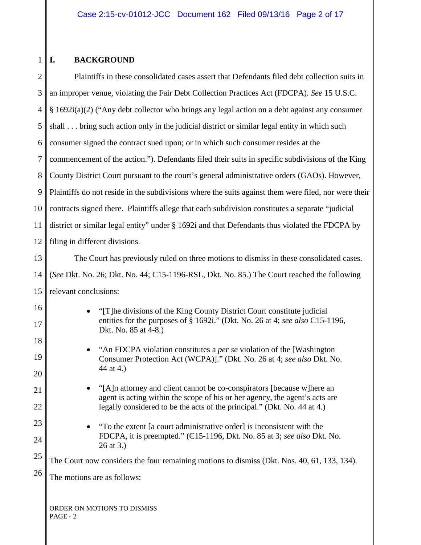#### $1 \parallel I$ . **I. BACKGROUND**

| $\overline{2}$ | Plaintiffs in these consolidated cases assert that Defendants filed debt collection suits in                                                                                                |  |  |  |
|----------------|---------------------------------------------------------------------------------------------------------------------------------------------------------------------------------------------|--|--|--|
| 3              | an improper venue, violating the Fair Debt Collection Practices Act (FDCPA). See 15 U.S.C.                                                                                                  |  |  |  |
| $\overline{4}$ | § 1692i(a)(2) ("Any debt collector who brings any legal action on a debt against any consumer                                                                                               |  |  |  |
| 5              | shall bring such action only in the judicial district or similar legal entity in which such                                                                                                 |  |  |  |
| 6              | consumer signed the contract sued upon; or in which such consumer resides at the                                                                                                            |  |  |  |
| 7              | commencement of the action."). Defendants filed their suits in specific subdivisions of the King                                                                                            |  |  |  |
| 8              | County District Court pursuant to the court's general administrative orders (GAOs). However,                                                                                                |  |  |  |
| 9              | Plaintiffs do not reside in the subdivisions where the suits against them were filed, nor were their                                                                                        |  |  |  |
| 10             | contracts signed there. Plaintiffs allege that each subdivision constitutes a separate "judicial                                                                                            |  |  |  |
| 11             | district or similar legal entity" under § 1692i and that Defendants thus violated the FDCPA by                                                                                              |  |  |  |
| 12             | filing in different divisions.                                                                                                                                                              |  |  |  |
| 13             | The Court has previously ruled on three motions to dismiss in these consolidated cases.                                                                                                     |  |  |  |
| 14             | (See Dkt. No. 26; Dkt. No. 44; C15-1196-RSL, Dkt. No. 85.) The Court reached the following                                                                                                  |  |  |  |
| 15             | relevant conclusions:                                                                                                                                                                       |  |  |  |
| 16<br>17       | "[T] he divisions of the King County District Court constitute judicial<br>$\bullet$<br>entities for the purposes of § 1692i." (Dkt. No. 26 at 4; see also C15-1196,                        |  |  |  |
| 18<br>19       | Dkt. No. 85 at 4-8.)<br>"An FDCPA violation constitutes a <i>per se</i> violation of the [Washington<br>Consumer Protection Act (WCPA)]." (Dkt. No. 26 at 4; see also Dkt. No.<br>44 at 4.) |  |  |  |
| 20             |                                                                                                                                                                                             |  |  |  |
| 21             | "[A]n attorney and client cannot be co-conspirators [because w]here an<br>agent is acting within the scope of his or her agency, the agent's acts are                                       |  |  |  |
| 22             | legally considered to be the acts of the principal." (Dkt. No. 44 at 4.)                                                                                                                    |  |  |  |
| 23             | "To the extent [a court administrative order] is inconsistent with the<br>FDCPA, it is preempted." (C15-1196, Dkt. No. 85 at 3; see also Dkt. No.                                           |  |  |  |
| 24             | 26 at 3.)                                                                                                                                                                                   |  |  |  |
| 25             | The Court now considers the four remaining motions to dismiss (Dkt. Nos. 40, 61, 133, 134).                                                                                                 |  |  |  |
| 26             | The motions are as follows:                                                                                                                                                                 |  |  |  |
|                | ORDER ON MOTIONS TO DISMISS<br>PAGE - 2                                                                                                                                                     |  |  |  |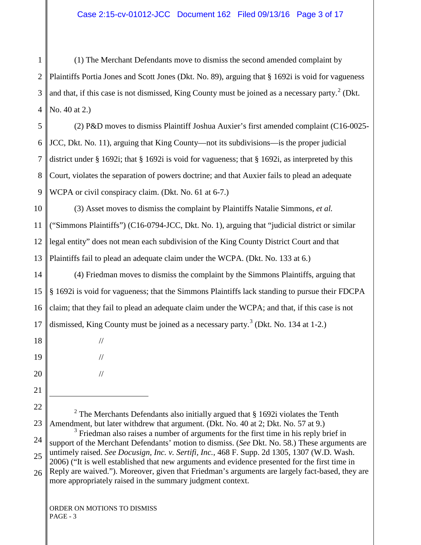1 2 3 4 (1) The Merchant Defendants move to dismiss the second amended complaint by Plaintiffs Portia Jones and Scott Jones (Dkt. No. 89), arguing that § 1692i is void for vagueness and that, if this case is not dismissed, King County must be joined as a necessary party. $2$  (Dkt.) No. 40 at 2.)

5 6 7 8 9 (2) P&D moves to dismiss Plaintiff Joshua Auxier's first amended complaint (C16-0025- JCC, Dkt. No. 11), arguing that King County—not its subdivisions—is the proper judicial district under § 1692i; that § 1692i is void for vagueness; that § 1692i, as interpreted by this Court, violates the separation of powers doctrine; and that Auxier fails to plead an adequate WCPA or civil conspiracy claim. (Dkt. No. 61 at 6-7.)

10 11 12 13 (3) Asset moves to dismiss the complaint by Plaintiffs Natalie Simmons, *et al.* ("Simmons Plaintiffs") (C16-0794-JCC, Dkt. No. 1), arguing that "judicial district or similar legal entity" does not mean each subdivision of the King County District Court and that Plaintiffs fail to plead an adequate claim under the WCPA. (Dkt. No. 133 at 6.)

14 15 16 17 (4) Friedman moves to dismiss the complaint by the Simmons Plaintiffs, arguing that § 1692i is void for vagueness; that the Simmons Plaintiffs lack standing to pursue their FDCPA claim; that they fail to plead an adequate claim under the WCPA; and that, if this case is not dismissed, King County must be joined as a necessary party.<sup>[3](#page-2-0)</sup> (Dkt. No. 134 at 1-2.)

18 19

20

 $\overline{a}$ 

- 21
- 22

23

<sup>2</sup> The Merchants Defendants also initially argued that  $\S$  1692i violates the Tenth Amendment, but later withdrew that argument. (Dkt. No. 40 at 2; Dkt. No. 57 at 9.)

<span id="page-2-1"></span><span id="page-2-0"></span>24 25 26 <sup>3</sup> Friedman also raises a number of arguments for the first time in his reply brief in support of the Merchant Defendants' motion to dismiss. (*See* Dkt. No. 58.) These arguments are untimely raised. *See Docusign, Inc. v. Sertifi, Inc.*, 468 F. Supp. 2d 1305, 1307 (W.D. Wash. 2006) ("It is well established that new arguments and evidence presented for the first time in Reply are waived."). Moreover, given that Friedman's arguments are largely fact-based, they are more appropriately raised in the summary judgment context.

ORDER ON MOTIONS TO DISMISS PAGE - 3

//

//

//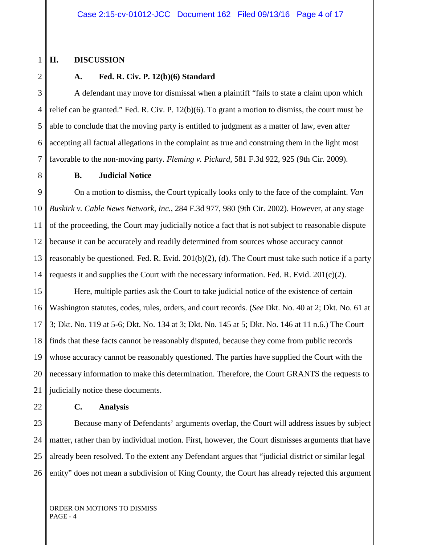#### 1 **II. DISCUSSION**

# 2 3

4

5

6

8

### **A. Fed. R. Civ. P. 12(b)(6) Standard**

7 A defendant may move for dismissal when a plaintiff "fails to state a claim upon which relief can be granted." Fed. R. Civ. P. 12(b)(6). To grant a motion to dismiss, the court must be able to conclude that the moving party is entitled to judgment as a matter of law, even after accepting all factual allegations in the complaint as true and construing them in the light most favorable to the non-moving party. *Fleming v. Pickard*, 581 F.3d 922, 925 (9th Cir. 2009).

**B. Judicial Notice**

9 10 11 12 13 14 On a motion to dismiss, the Court typically looks only to the face of the complaint. *Van Buskirk v. Cable News Network, Inc.*, 284 F.3d 977, 980 (9th Cir. 2002). However, at any stage of the proceeding, the Court may judicially notice a fact that is not subject to reasonable dispute because it can be accurately and readily determined from sources whose accuracy cannot reasonably be questioned. Fed. R. Evid. 201(b)(2), (d). The Court must take such notice if a party requests it and supplies the Court with the necessary information. Fed. R. Evid. 201(c)(2).

15 16 17 18 19 20 21 Here, multiple parties ask the Court to take judicial notice of the existence of certain Washington statutes, codes, rules, orders, and court records. (*See* Dkt. No. 40 at 2; Dkt. No. 61 at 3; Dkt. No. 119 at 5-6; Dkt. No. 134 at 3; Dkt. No. 145 at 5; Dkt. No. 146 at 11 n.6.) The Court finds that these facts cannot be reasonably disputed, because they come from public records whose accuracy cannot be reasonably questioned. The parties have supplied the Court with the necessary information to make this determination. Therefore, the Court GRANTS the requests to judicially notice these documents.

22

#### **C. Analysis**

23 24 25 26 Because many of Defendants' arguments overlap, the Court will address issues by subject matter, rather than by individual motion. First, however, the Court dismisses arguments that have already been resolved. To the extent any Defendant argues that "judicial district or similar legal entity" does not mean a subdivision of King County, the Court has already rejected this argument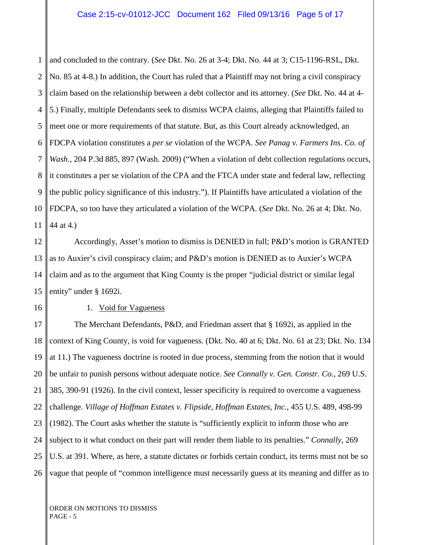1 2 3 4 5 6 7 8 9 10 11 and concluded to the contrary. (*See* Dkt. No. 26 at 3-4; Dkt. No. 44 at 3; C15-1196-RSL, Dkt. No. 85 at 4-8.) In addition, the Court has ruled that a Plaintiff may not bring a civil conspiracy claim based on the relationship between a debt collector and its attorney. (*See* Dkt. No. 44 at 4- 5.) Finally, multiple Defendants seek to dismiss WCPA claims, alleging that Plaintiffs failed to meet one or more requirements of that statute. But, as this Court already acknowledged, an FDCPA violation constitutes a *per se* violation of the WCPA. *See Panag v. Farmers Ins. Co. of Wash.*, 204 P.3d 885, 897 (Wash. 2009) ("When a violation of debt collection regulations occurs, it constitutes a per se violation of the CPA and the FTCA under state and federal law, reflecting the public policy significance of this industry."). If Plaintiffs have articulated a violation of the FDCPA, so too have they articulated a violation of the WCPA. (*See* Dkt. No. 26 at 4; Dkt. No. 44 at 4.)

12 13 14 15 Accordingly, Asset's motion to dismiss is DENIED in full; P&D's motion is GRANTED as to Auxier's civil conspiracy claim; and P&D's motion is DENIED as to Auxier's WCPA claim and as to the argument that King County is the proper "judicial district or similar legal entity" under § 1692i.

16

#### 1. Void for Vagueness

17 18 19 20 21 22 23 24 25 26 The Merchant Defendants, P&D, and Friedman assert that § 1692i, as applied in the context of King County, is void for vagueness. (Dkt. No. 40 at 6; Dkt. No. 61 at 23; Dkt. No. 134 at 11.) The vagueness doctrine is rooted in due process, stemming from the notion that it would be unfair to punish persons without adequate notice. *See Connally v. Gen. Constr. Co.*, 269 U.S. 385, 390-91 (1926). In the civil context, lesser specificity is required to overcome a vagueness challenge. *Village of Hoffman Estates v. Flipside, Hoffman Estates, Inc.*, 455 U.S. 489, 498-99 (1982). The Court asks whether the statute is "sufficiently explicit to inform those who are subject to it what conduct on their part will render them liable to its penalties." *Connally*, 269 U.S. at 391. Where, as here, a statute dictates or forbids certain conduct, its terms must not be so vague that people of "common intelligence must necessarily guess at its meaning and differ as to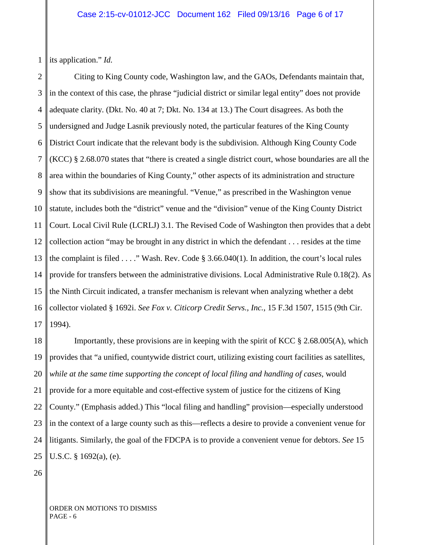1 its application." *Id.*

2 3 4 5 6 7 8 9 10 11 12 13 14 15 16 17 Citing to King County code, Washington law, and the GAOs, Defendants maintain that, in the context of this case, the phrase "judicial district or similar legal entity" does not provide adequate clarity. (Dkt. No. 40 at 7; Dkt. No. 134 at 13.) The Court disagrees. As both the undersigned and Judge Lasnik previously noted, the particular features of the King County District Court indicate that the relevant body is the subdivision. Although King County Code (KCC) § 2.68.070 states that "there is created a single district court, whose boundaries are all the area within the boundaries of King County," other aspects of its administration and structure show that its subdivisions are meaningful. "Venue," as prescribed in the Washington venue statute, includes both the "district" venue and the "division" venue of the King County District Court. Local Civil Rule (LCRLJ) 3.1. The Revised Code of Washington then provides that a debt collection action "may be brought in any district in which the defendant . . . resides at the time the complaint is filed . . . ." Wash. Rev. Code § 3.66.040(1). In addition, the court's local rules provide for transfers between the administrative divisions. Local Administrative Rule 0.18(2). As the Ninth Circuit indicated, a transfer mechanism is relevant when analyzing whether a debt collector violated § 1692i. *See Fox v. Citicorp Credit Servs., Inc.*, 15 F.3d 1507, 1515 (9th Cir. 1994).

18 19 20 21 22 23 24 25 Importantly, these provisions are in keeping with the spirit of KCC  $\S 2.68.005(A)$ , which provides that "a unified, countywide district court, utilizing existing court facilities as satellites, *while at the same time supporting the concept of local filing and handling of cases*, would provide for a more equitable and cost-effective system of justice for the citizens of King County." (Emphasis added.) This "local filing and handling" provision—especially understood in the context of a large county such as this—reflects a desire to provide a convenient venue for litigants. Similarly, the goal of the FDCPA is to provide a convenient venue for debtors. *See* 15 U.S.C. § 1692(a), (e).

26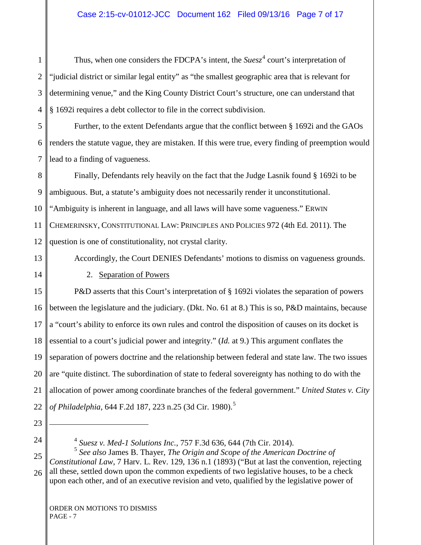1 2 3 4 Thus, when one considers the FDCPA's intent, the  $Suesz^4$  $Suesz^4$  court's interpretation of "judicial district or similar legal entity" as "the smallest geographic area that is relevant for determining venue," and the King County District Court's structure, one can understand that § 1692i requires a debt collector to file in the correct subdivision.

5 6 7 Further, to the extent Defendants argue that the conflict between § 1692i and the GAOs renders the statute vague, they are mistaken. If this were true, every finding of preemption would lead to a finding of vagueness.

8 9 10 11 12 Finally, Defendants rely heavily on the fact that the Judge Lasnik found § 1692i to be ambiguous. But, a statute's ambiguity does not necessarily render it unconstitutional. "Ambiguity is inherent in language, and all laws will have some vagueness." ERWIN CHEMERINSKY, CONSTITUTIONAL LAW: PRINCIPLES AND POLICIES 972 (4th Ed. 2011). The question is one of constitutionality, not crystal clarity.

13

Accordingly, the Court DENIES Defendants' motions to dismiss on vagueness grounds.

14

2. Separation of Powers

15 16 17 18 19 20 21 22 P&D asserts that this Court's interpretation of § 1692i violates the separation of powers between the legislature and the judiciary. (Dkt. No. 61 at 8.) This is so, P&D maintains, because a "court's ability to enforce its own rules and control the disposition of causes on its docket is essential to a court's judicial power and integrity." (*Id.* at 9.) This argument conflates the separation of powers doctrine and the relationship between federal and state law. The two issues are "quite distinct. The subordination of state to federal sovereignty has nothing to do with the allocation of power among coordinate branches of the federal government." *United States v. City of Philadelphia*, 644 F.2d 187, 223 n.2[5](#page-6-0) (3d Cir. 1980).<sup>5</sup>

23

 $\overline{a}$ 

24

<sup>4</sup> *Suesz v. Med-1 Solutions Inc.,* 757 F.3d 636, 644 (7th Cir. 2014).

<span id="page-6-0"></span>25 26 <sup>5</sup> *See also* James B. Thayer, *The Origin and Scope of the American Doctrine of Constitutional Law*, 7 Harv. L. Rev. 129, 136 n.1 (1893) ("But at last the convention, rejecting all these, settled down upon the common expedients of two legislative houses, to be a check upon each other, and of an executive revision and veto, qualified by the legislative power of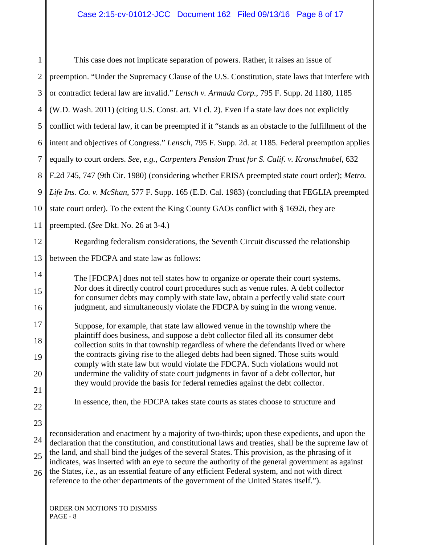| $\mathbf{1}$   | This case does not implicate separation of powers. Rather, it raises an issue of                                                                                                                       |  |  |  |  |
|----------------|--------------------------------------------------------------------------------------------------------------------------------------------------------------------------------------------------------|--|--|--|--|
| $\overline{2}$ | preemption. "Under the Supremacy Clause of the U.S. Constitution, state laws that interfere with                                                                                                       |  |  |  |  |
| 3              | or contradict federal law are invalid." Lensch v. Armada Corp., 795 F. Supp. 2d 1180, 1185                                                                                                             |  |  |  |  |
| $\overline{4}$ | (W.D. Wash. 2011) (citing U.S. Const. art. VI cl. 2). Even if a state law does not explicitly                                                                                                          |  |  |  |  |
| 5              | conflict with federal law, it can be preempted if it "stands as an obstacle to the fulfillment of the                                                                                                  |  |  |  |  |
| 6              | intent and objectives of Congress." Lensch, 795 F. Supp. 2d. at 1185. Federal preemption applies                                                                                                       |  |  |  |  |
| 7              | equally to court orders. See, e.g., Carpenters Pension Trust for S. Calif. v. Kronschnabel, 632                                                                                                        |  |  |  |  |
| 8              | F.2d 745, 747 (9th Cir. 1980) (considering whether ERISA preempted state court order); Metro.                                                                                                          |  |  |  |  |
| 9              | Life Ins. Co. v. McShan, 577 F. Supp. 165 (E.D. Cal. 1983) (concluding that FEGLIA preempted                                                                                                           |  |  |  |  |
| 10             | state court order). To the extent the King County GAOs conflict with § 1692i, they are                                                                                                                 |  |  |  |  |
| 11             | preempted. (See Dkt. No. 26 at 3-4.)                                                                                                                                                                   |  |  |  |  |
| 12             | Regarding federalism considerations, the Seventh Circuit discussed the relationship                                                                                                                    |  |  |  |  |
| 13             | between the FDCPA and state law as follows:                                                                                                                                                            |  |  |  |  |
| 14             | The [FDCPA] does not tell states how to organize or operate their court systems.                                                                                                                       |  |  |  |  |
| 15             | Nor does it directly control court procedures such as venue rules. A debt collector<br>for consumer debts may comply with state law, obtain a perfectly valid state court                              |  |  |  |  |
| 16             | judgment, and simultaneously violate the FDCPA by suing in the wrong venue.                                                                                                                            |  |  |  |  |
| 17             | Suppose, for example, that state law allowed venue in the township where the                                                                                                                           |  |  |  |  |
| 18             | plaintiff does business, and suppose a debt collector filed all its consumer debt<br>collection suits in that township regardless of where the defendants lived or where                               |  |  |  |  |
| 19             | the contracts giving rise to the alleged debts had been signed. Those suits would<br>comply with state law but would violate the FDCPA. Such violations would not                                      |  |  |  |  |
| 20             | undermine the validity of state court judgments in favor of a debt collector, but                                                                                                                      |  |  |  |  |
| 21             | they would provide the basis for federal remedies against the debt collector.                                                                                                                          |  |  |  |  |
| 22             | In essence, then, the FDCPA takes state courts as states choose to structure and                                                                                                                       |  |  |  |  |
| 23             |                                                                                                                                                                                                        |  |  |  |  |
| 24             | reconsideration and enactment by a majority of two-thirds; upon these expedients, and upon the<br>declaration that the constitution, and constitutional laws and treaties, shall be the supreme law of |  |  |  |  |
| 25             | the land, and shall bind the judges of the several States. This provision, as the phrasing of it<br>indicates, was inserted with an eye to secure the authority of the general government as against   |  |  |  |  |
| 26             | the States, i.e., as an essential feature of any efficient Federal system, and not with direct<br>reference to the other departments of the government of the United States itself.").                 |  |  |  |  |
|                |                                                                                                                                                                                                        |  |  |  |  |
|                | ORDER ON MOTIONS TO DISMISS                                                                                                                                                                            |  |  |  |  |

PAGE - 8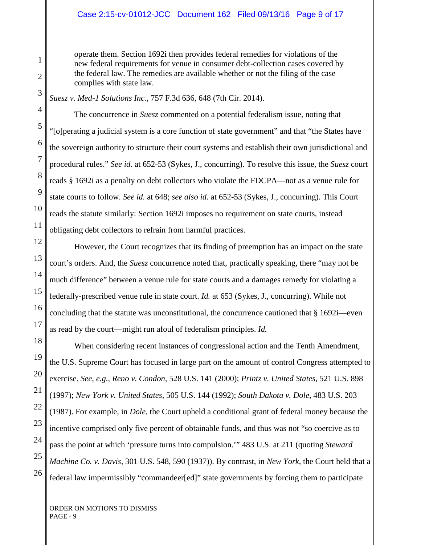### Case 2:15-cv-01012-JCC Document 162 Filed 09/13/16 Page 9 of 17

operate them. Section 1692i then provides federal remedies for violations of the new federal requirements for venue in consumer debt-collection cases covered by the federal law. The remedies are available whether or not the filing of the case complies with state law.

*Suesz v. Med-1 Solutions Inc.,* 757 F.3d 636, 648 (7th Cir. 2014).

The concurrence in *Suesz* commented on a potential federalism issue, noting that "[o]perating a judicial system is a core function of state government" and that "the States have the sovereign authority to structure their court systems and establish their own jurisdictional and procedural rules." *See id.* at 652-53 (Sykes, J., concurring). To resolve this issue, the *Suesz* court reads § 1692i as a penalty on debt collectors who violate the FDCPA—not as a venue rule for state courts to follow. *See id.* at 648; *see also id.* at 652-53 (Sykes, J., concurring). This Court reads the statute similarly: Section 1692i imposes no requirement on state courts, instead obligating debt collectors to refrain from harmful practices.

However, the Court recognizes that its finding of preemption has an impact on the state court's orders. And, the *Suesz* concurrence noted that, practically speaking, there "may not be much difference" between a venue rule for state courts and a damages remedy for violating a federally-prescribed venue rule in state court. *Id.* at 653 (Sykes, J., concurring). While not concluding that the statute was unconstitutional, the concurrence cautioned that § 1692i—even as read by the court—might run afoul of federalism principles. *Id.*

When considering recent instances of congressional action and the Tenth Amendment, the U.S. Supreme Court has focused in large part on the amount of control Congress attempted to exercise. *See, e.g.*, *Reno v. Condon*, 528 U.S. 141 (2000); *Printz v. United States*, 521 U.S. 898 (1997); *New York v. United States*, 505 U.S. 144 (1992); *South Dakota v. Dole*, 483 U.S. 203 (1987). For example, in *Dole*, the Court upheld a conditional grant of federal money because the incentive comprised only five percent of obtainable funds, and thus was not "so coercive as to pass the point at which 'pressure turns into compulsion.'" 483 U.S. at 211 (quoting *Steward Machine Co. v. Davis,* 301 U.S. 548, 590 (1937)). By contrast, in *New York*, the Court held that a federal law impermissibly "commandeer[ed]" state governments by forcing them to participate

ORDER ON MOTIONS TO DISMISS PAGE - 9

1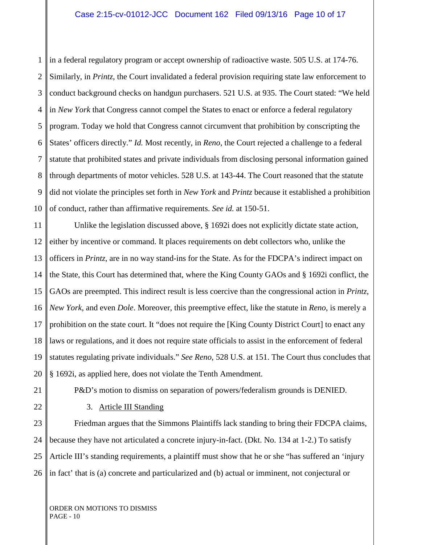1 2 3 4 5 6 7 8 9 10 in a federal regulatory program or accept ownership of radioactive waste. 505 U.S. at 174-76. Similarly, in *Printz*, the Court invalidated a federal provision requiring state law enforcement to conduct background checks on handgun purchasers. 521 U.S. at 935. The Court stated: "We held in *New York* that Congress cannot compel the States to enact or enforce a federal regulatory program. Today we hold that Congress cannot circumvent that prohibition by conscripting the States' officers directly." *Id.* Most recently, in *Reno*, the Court rejected a challenge to a federal statute that prohibited states and private individuals from disclosing personal information gained through departments of motor vehicles. 528 U.S. at 143-44. The Court reasoned that the statute did not violate the principles set forth in *New York* and *Printz* because it established a prohibition of conduct, rather than affirmative requirements. *See id.* at 150-51.

11 12 13 14 15 16 17 18 19 20 Unlike the legislation discussed above, § 1692i does not explicitly dictate state action, either by incentive or command. It places requirements on debt collectors who, unlike the officers in *Printz*, are in no way stand-ins for the State. As for the FDCPA's indirect impact on the State, this Court has determined that, where the King County GAOs and § 1692i conflict, the GAOs are preempted. This indirect result is less coercive than the congressional action in *Printz*, *New York*, and even *Dole*. Moreover, this preemptive effect, like the statute in *Reno*, is merely a prohibition on the state court. It "does not require the [King County District Court] to enact any laws or regulations, and it does not require state officials to assist in the enforcement of federal statutes regulating private individuals." *See Reno*, 528 U.S. at 151. The Court thus concludes that § 1692i, as applied here, does not violate the Tenth Amendment.

21

P&D's motion to dismiss on separation of powers/federalism grounds is DENIED.

22

3. Article III Standing

23 24 25 26 Friedman argues that the Simmons Plaintiffs lack standing to bring their FDCPA claims, because they have not articulated a concrete injury-in-fact. (Dkt. No. 134 at 1-2.) To satisfy Article III's standing requirements, a plaintiff must show that he or she "has suffered an 'injury in fact' that is (a) concrete and particularized and (b) actual or imminent, not conjectural or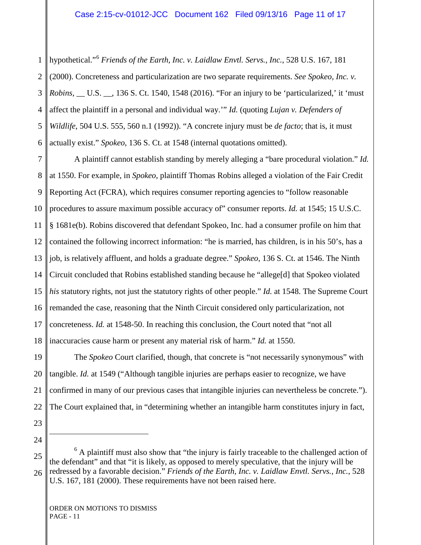1 2 3 4 5 6 hypothetical."[6](#page-6-0) *Friends of the Earth, Inc. v. Laidlaw Envtl. Servs., Inc.*, 528 U.S. 167, 181 (2000). Concreteness and particularization are two separate requirements. *See Spokeo, Inc. v. Robins*, \_\_ U.S. \_\_, 136 S. Ct. 1540, 1548 (2016). "For an injury to be 'particularized,' it 'must affect the plaintiff in a personal and individual way.'" *Id.* (quoting *Lujan v. Defenders of Wildlife*, 504 U.S. 555, 560 n.1 (1992)). "A concrete injury must be *de facto*; that is, it must actually exist." *Spokeo*, 136 S. Ct. at 1548 (internal quotations omitted).

7 8 9 10 11 12 13 14 15 16 17 18 A plaintiff cannot establish standing by merely alleging a "bare procedural violation." *Id.* at 1550. For example, in *Spokeo*, plaintiff Thomas Robins alleged a violation of the Fair Credit Reporting Act (FCRA), which requires consumer reporting agencies to "follow reasonable procedures to assure maximum possible accuracy of" consumer reports. *Id.* at 1545; 15 U.S.C. § 1681e(b). Robins discovered that defendant Spokeo, Inc. had a consumer profile on him that contained the following incorrect information: "he is married, has children, is in his 50's, has a job, is relatively affluent, and holds a graduate degree." *Spokeo*, 136 S. Ct. at 1546. The Ninth Circuit concluded that Robins established standing because he "allege[d] that Spokeo violated *his* statutory rights, not just the statutory rights of other people." *Id.* at 1548. The Supreme Court remanded the case, reasoning that the Ninth Circuit considered only particularization, not concreteness. *Id.* at 1548-50. In reaching this conclusion, the Court noted that "not all inaccuracies cause harm or present any material risk of harm." *Id.* at 1550.

19 20 21 22 The *Spokeo* Court clarified, though, that concrete is "not necessarily synonymous" with tangible. *Id.* at 1549 ("Although tangible injuries are perhaps easier to recognize, we have confirmed in many of our previous cases that intangible injuries can nevertheless be concrete."). The Court explained that, in "determining whether an intangible harm constitutes injury in fact,

- 23
- <span id="page-10-0"></span>24

 $\overline{a}$ 

25 26  $<sup>6</sup>$  A plaintiff must also show that "the injury is fairly traceable to the challenged action of</sup> the defendant" and that "it is likely, as opposed to merely speculative, that the injury will be redressed by a favorable decision." *Friends of the Earth, Inc. v. Laidlaw Envtl. Servs., Inc.*, 528 U.S. 167, 181 (2000). These requirements have not been raised here.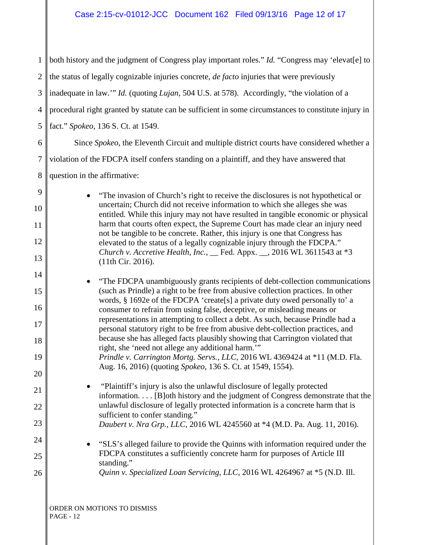| $\mathbf{1}$   | both history and the judgment of Congress play important roles." <i>Id.</i> "Congress may 'elevat[e] to                                                                      |  |  |  |
|----------------|------------------------------------------------------------------------------------------------------------------------------------------------------------------------------|--|--|--|
| $\overline{2}$ | the status of legally cognizable injuries concrete, <i>de facto</i> injuries that were previously                                                                            |  |  |  |
| 3              | inadequate in law." Id. (quoting Lujan, 504 U.S. at 578). Accordingly, "the violation of a                                                                                   |  |  |  |
| 4              | procedural right granted by statute can be sufficient in some circumstances to constitute injury in                                                                          |  |  |  |
| 5              | fact." Spokeo, 136 S. Ct. at 1549.                                                                                                                                           |  |  |  |
| 6              | Since Spokeo, the Eleventh Circuit and multiple district courts have considered whether a                                                                                    |  |  |  |
| 7              | violation of the FDCPA itself confers standing on a plaintiff, and they have answered that                                                                                   |  |  |  |
| 8              | question in the affirmative:                                                                                                                                                 |  |  |  |
| 9<br>10        | "The invasion of Church's right to receive the disclosures is not hypothetical or<br>$\bullet$<br>uncertain; Church did not receive information to which she alleges she was |  |  |  |
| 11             | entitled. While this injury may not have resulted in tangible economic or physical<br>harm that courts often expect, the Supreme Court has made clear an injury need         |  |  |  |
| 12             | not be tangible to be concrete. Rather, this injury is one that Congress has<br>elevated to the status of a legally cognizable injury through the FDCPA."                    |  |  |  |
| 13             | Church v. Accretive Health, Inc., _ Fed. Appx. _, 2016 WL 3611543 at *3<br>(11th Cir. 2016).                                                                                 |  |  |  |
| 14             | "The FDCPA unambiguously grants recipients of debt-collection communications                                                                                                 |  |  |  |
| 15             | (such as Prindle) a right to be free from abusive collection practices. In other<br>words, § 1692e of the FDCPA 'create[s] a private duty owed personally to' a              |  |  |  |
| 16             | consumer to refrain from using false, deceptive, or misleading means or<br>representations in attempting to collect a debt. As such, because Prindle had a                   |  |  |  |
| 17<br>18       | personal statutory right to be free from abusive debt-collection practices, and<br>because she has alleged facts plausibly showing that Carrington violated that             |  |  |  |
| 19             | right, she 'need not allege any additional harm."<br>Prindle v. Carrington Mortg. Servs., LLC, 2016 WL 4369424 at *11 (M.D. Fla.                                             |  |  |  |
| 20             | Aug. 16, 2016) (quoting Spokeo, 136 S. Ct. at 1549, 1554).                                                                                                                   |  |  |  |
| 21             | "Plaintiff's injury is also the unlawful disclosure of legally protected<br>information. [B]oth history and the judgment of Congress demonstrate that the                    |  |  |  |
| 22             | unlawful disclosure of legally protected information is a concrete harm that is                                                                                              |  |  |  |
| 23             | sufficient to confer standing."<br>Daubert v. Nra Grp., LLC, 2016 WL 4245560 at *4 (M.D. Pa. Aug. 11, 2016).                                                                 |  |  |  |
| 24             | "SLS's alleged failure to provide the Quinns with information required under the                                                                                             |  |  |  |
| 25             | FDCPA constitutes a sufficiently concrete harm for purposes of Article III<br>standing."                                                                                     |  |  |  |
| 26             | Quinn v. Specialized Loan Servicing, LLC, 2016 WL 4264967 at *5 (N.D. Ill.                                                                                                   |  |  |  |
|                | ORDER ON MOTIONS TO DISMISS                                                                                                                                                  |  |  |  |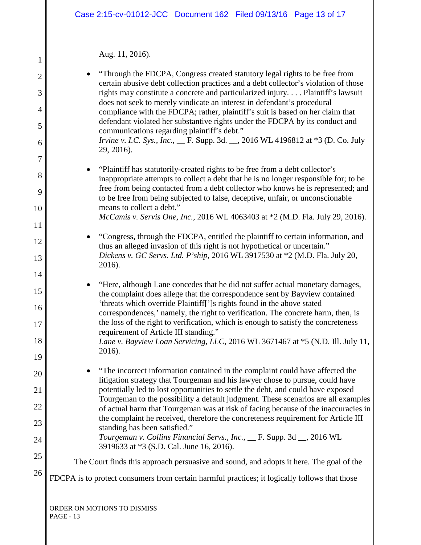## Aug. 11, 2016).

| 1              | Aug. II, 2010.                                                                                                                                                                                                                                           |
|----------------|----------------------------------------------------------------------------------------------------------------------------------------------------------------------------------------------------------------------------------------------------------|
| $\overline{2}$ | "Through the FDCPA, Congress created statutory legal rights to be free from<br>certain abusive debt collection practices and a debt collector's violation of those                                                                                       |
| 3              | rights may constitute a concrete and particularized injury Plaintiff's lawsuit<br>does not seek to merely vindicate an interest in defendant's procedural                                                                                                |
| $\overline{4}$ | compliance with the FDCPA; rather, plaintiff's suit is based on her claim that                                                                                                                                                                           |
| 5              | defendant violated her substantive rights under the FDCPA by its conduct and<br>communications regarding plaintiff's debt."                                                                                                                              |
| 6              | <i>Irvine v. I.C. Sys., Inc.,</i> __ F. Supp. 3d. __, 2016 WL 4196812 at *3 (D. Co. July<br>29, 2016).                                                                                                                                                   |
| $\overline{7}$ |                                                                                                                                                                                                                                                          |
| 8              | "Plaintiff has statutorily-created rights to be free from a debt collector's<br>inappropriate attempts to collect a debt that he is no longer responsible for; to be<br>free from being contacted from a debt collector who knows he is represented; and |
| 9<br>10        | to be free from being subjected to false, deceptive, unfair, or unconscionable<br>means to collect a debt."                                                                                                                                              |
|                | McCamis v. Servis One, Inc., 2016 WL 4063403 at *2 (M.D. Fla. July 29, 2016).                                                                                                                                                                            |
| 11             | "Congress, through the FDCPA, entitled the plaintiff to certain information, and                                                                                                                                                                         |
| 12             | thus an alleged invasion of this right is not hypothetical or uncertain."                                                                                                                                                                                |
| 13             | Dickens v. GC Servs. Ltd. P'ship, 2016 WL 3917530 at *2 (M.D. Fla. July 20,<br>2016).                                                                                                                                                                    |
| 14             |                                                                                                                                                                                                                                                          |
| 15             | "Here, although Lane concedes that he did not suffer actual monetary damages,<br>the complaint does allege that the correspondence sent by Bayview contained                                                                                             |
| 16             | 'threats which override Plaintiff[']s rights found in the above stated<br>correspondences,' namely, the right to verification. The concrete harm, then, is                                                                                               |
| 17             | the loss of the right to verification, which is enough to satisfy the concreteness<br>requirement of Article III standing."                                                                                                                              |
| 18             | Lane v. Bayview Loan Servicing, LLC, 2016 WL 3671467 at *5 (N.D. Ill. July 11,                                                                                                                                                                           |
| 19             | 2016).                                                                                                                                                                                                                                                   |
| 20             | "The incorrect information contained in the complaint could have affected the<br>litigation strategy that Tourgeman and his lawyer chose to pursue, could have                                                                                           |
| 21             | potentially led to lost opportunities to settle the debt, and could have exposed                                                                                                                                                                         |
| 22             | Tourgeman to the possibility a default judgment. These scenarios are all examples<br>of actual harm that Tourgeman was at risk of facing because of the inaccuracies in                                                                                  |
| 23             | the complaint he received, therefore the concreteness requirement for Article III<br>standing has been satisfied."                                                                                                                                       |
| 24             | Tourgeman v. Collins Financial Servs., Inc., __ F. Supp. 3d __, 2016 WL<br>3919633 at *3 (S.D. Cal. June 16, 2016).                                                                                                                                      |
| 25             |                                                                                                                                                                                                                                                          |
| 26             | The Court finds this approach persuasive and sound, and adopts it here. The goal of the                                                                                                                                                                  |
|                | FDCPA is to protect consumers from certain harmful practices; it logically follows that those                                                                                                                                                            |
|                |                                                                                                                                                                                                                                                          |
|                | ORDER ON MOTIONS TO DISMISS                                                                                                                                                                                                                              |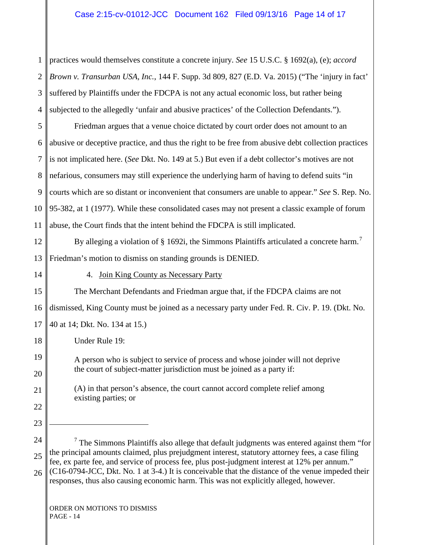1 2 3 4 5 6 7 8 9 10 11 12 13 14 15 16 17 18 19 20 21 22 23 24 25 26 practices would themselves constitute a concrete injury. *See* 15 U.S.C. § 1692(a), (e); *accord Brown v. Transurban USA, Inc.*, 144 F. Supp. 3d 809, 827 (E.D. Va. 2015) ("The 'injury in fact' suffered by Plaintiffs under the FDCPA is not any actual economic loss, but rather being subjected to the allegedly 'unfair and abusive practices' of the Collection Defendants."). Friedman argues that a venue choice dictated by court order does not amount to an abusive or deceptive practice, and thus the right to be free from abusive debt collection practices is not implicated here. (*See* Dkt. No. 149 at 5.) But even if a debt collector's motives are not nefarious, consumers may still experience the underlying harm of having to defend suits "in courts which are so distant or inconvenient that consumers are unable to appear." *See* S. Rep. No. 95-382, at 1 (1977). While these consolidated cases may not present a classic example of forum abuse, the Court finds that the intent behind the FDCPA is still implicated. By alleging a violation of  $\S$  1692i, the Simmons Plaintiffs articulated a concrete harm.<sup>[7](#page-10-0)</sup> Friedman's motion to dismiss on standing grounds is DENIED. 4. Join King County as Necessary Party The Merchant Defendants and Friedman argue that, if the FDCPA claims are not dismissed, King County must be joined as a necessary party under Fed. R. Civ. P. 19. (Dkt. No. 40 at 14; Dkt. No. 134 at 15.) Under Rule 19: A person who is subject to service of process and whose joinder will not deprive the court of subject-matter jurisdiction must be joined as a party if: (A) in that person's absence, the court cannot accord complete relief among existing parties; or  $\overline{a}$  $<sup>7</sup>$  The Simmons Plaintiffs also allege that default judgments was entered against them "for"</sup> the principal amounts claimed, plus prejudgment interest, statutory attorney fees, a case filing fee, ex parte fee, and service of process fee, plus post-judgment interest at 12% per annum." (C16-0794-JCC, Dkt. No. 1 at 3-4.) It is conceivable that the distance of the venue impeded their responses, thus also causing economic harm. This was not explicitly alleged, however.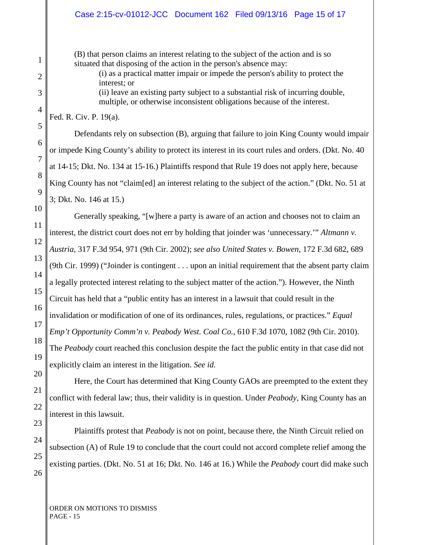(B) that person claims an interest relating to the subject of the action and is so situated that disposing of the action in the person's absence may:

> (i) as a practical matter impair or impede the person's ability to protect the interest; or

> (ii) leave an existing party subject to a substantial risk of incurring double, multiple, or otherwise inconsistent obligations because of the interest.

Fed. R. Civ. P. 19(a).

Defendants rely on subsection (B), arguing that failure to join King County would impair or impede King County's ability to protect its interest in its court rules and orders. (Dkt. No. 40 at 14-15; Dkt. No. 134 at 15-16.) Plaintiffs respond that Rule 19 does not apply here, because King County has not "claim[ed] an interest relating to the subject of the action." (Dkt. No. 51 at 3; Dkt. No. 146 at 15.)

Generally speaking, "[w]here a party is aware of an action and chooses not to claim an interest, the district court does not err by holding that joinder was 'unnecessary.'" *Altmann v. Austria*, 317 F.3d 954, 971 (9th Cir. 2002); *see also United States v. Bowen*, 172 F.3d 682, 689 (9th Cir. 1999) ("Joinder is contingent . . . upon an initial requirement that the absent party claim a legally protected interest relating to the subject matter of the action."). However, the Ninth Circuit has held that a "public entity has an interest in a lawsuit that could result in the invalidation or modification of one of its ordinances, rules, regulations, or practices." *Equal Emp't Opportunity Comm'n v. Peabody West. Coal Co.*, 610 F.3d 1070, 1082 (9th Cir. 2010). The *Peabody* court reached this conclusion despite the fact the public entity in that case did not explicitly claim an interest in the litigation. *See id.*

Here, the Court has determined that King County GAOs are preempted to the extent they conflict with federal law; thus, their validity is in question. Under *Peabody*, King County has an interest in this lawsuit.

Plaintiffs protest that *Peabody* is not on point, because there, the Ninth Circuit relied on subsection (A) of Rule 19 to conclude that the court could not accord complete relief among the existing parties. (Dkt. No. 51 at 16; Dkt. No. 146 at 16.) While the *Peabody* court did make such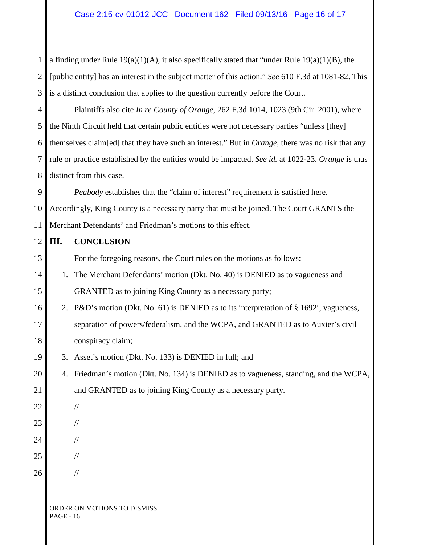1 2 3 a finding under Rule  $19(a)(1)(A)$ , it also specifically stated that "under Rule  $19(a)(1)(B)$ , the [public entity] has an interest in the subject matter of this action." *See* 610 F.3d at 1081-82. This is a distinct conclusion that applies to the question currently before the Court.

4 5 6 7 8 Plaintiffs also cite *In re County of Orange*, 262 F.3d 1014, 1023 (9th Cir. 2001), where the Ninth Circuit held that certain public entities were not necessary parties "unless [they] themselves claim[ed] that they have such an interest." But in *Orange*, there was no risk that any rule or practice established by the entities would be impacted. *See id.* at 1022-23. *Orange* is thus distinct from this case.

9 10 11 *Peabody* establishes that the "claim of interest" requirement is satisfied here. Accordingly, King County is a necessary party that must be joined. The Court GRANTS the Merchant Defendants' and Friedman's motions to this effect.

#### 12 13 14 15 16 17 18 19 20 21 22 23 24 25 26 ORDER ON MOTIONS TO DISMISS **III. CONCLUSION** For the foregoing reasons, the Court rules on the motions as follows: 1. The Merchant Defendants' motion (Dkt. No. 40) is DENIED as to vagueness and GRANTED as to joining King County as a necessary party; 2. P&D's motion (Dkt. No. 61) is DENIED as to its interpretation of § 1692i, vagueness, separation of powers/federalism, and the WCPA, and GRANTED as to Auxier's civil conspiracy claim; 3. Asset's motion (Dkt. No. 133) is DENIED in full; and 4. Friedman's motion (Dkt. No. 134) is DENIED as to vagueness, standing, and the WCPA, and GRANTED as to joining King County as a necessary party. // // // // //

PAGE - 16